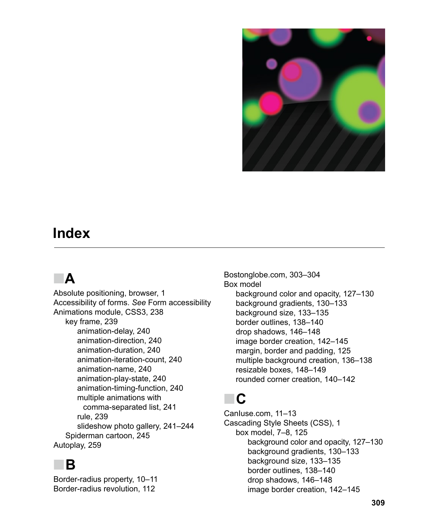

#### **Index**

### ■ **A**

Absolute positioning, browser, 1 Accessibility of forms. *See* Form accessibility Animations module, CSS3, 238 key frame, 239 animation-delay, 240 animation-direction, 240 animation-duration, 240 animation-iteration-count, 240 animation-name, 240 animation-play-state, 240 animation-timing-function, 240 multiple animations with comma-separated list, 241 rule, 239 slideshow photo gallery, 241–244 Spiderman cartoon, 245 Autoplay, 259

#### ■ **B**

Border-radius property, 10–11 Border-radius revolution, 112

Bostonglobe.com, 303–304 Box model background color and opacity, 127–130 background gradients, 130–133 background size, 133–135 border outlines, 138–140 drop shadows, 146–148 image border creation, 142–145 margin, border and padding, 125 multiple background creation, 136–138 resizable boxes, 148–149 rounded corner creation, 140–142

#### ■ **C**

CanIuse.com, 11–13 Cascading Style Sheets (CSS), 1 box model, 7–8, 125 background color and opacity, 127–130 background gradients, 130–133 background size, 133–135 border outlines, 138–140 drop shadows, 146–148 image border creation, 142–145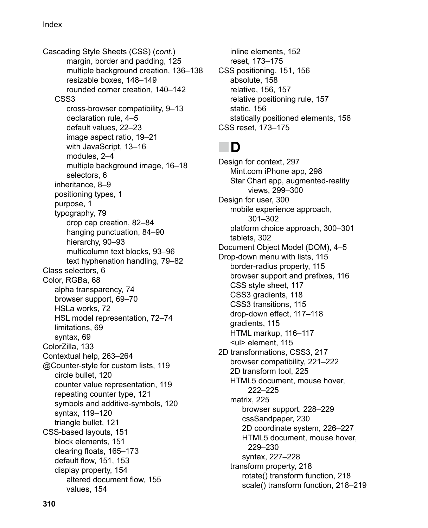Cascading Style Sheets (CSS) (*cont*.) margin, border and padding, 125 multiple background creation, 136–138 resizable boxes, 148–149 rounded corner creation, 140–142 CSS3 cross-browser compatibility, 9–13 declaration rule, 4–5 default values, 22–23 image aspect ratio, 19–21 with JavaScript, 13–16 modules, 2–4 multiple background image, 16–18 selectors, 6 inheritance, 8–9 positioning types, 1 purpose, 1 typography, 79 drop cap creation, 82–84 hanging punctuation, 84–90 hierarchy, 90–93 multicolumn text blocks, 93–96 text hyphenation handling, 79–82 Class selectors, 6 Color, RGBa, 68 alpha transparency, 74 browser support, 69–70 HSLa works, 72 HSL model representation, 72–74 limitations, 69 syntax, 69 ColorZilla, 133 Contextual help, 263–264 @Counter-style for custom lists, 119 circle bullet, 120 counter value representation, 119 repeating counter type, 121 symbols and additive-symbols, 120 syntax, 119–120 triangle bullet, 121 CSS-based layouts, 151 block elements, 151 clearing floats, 165–173 default flow, 151, 153 display property, 154 altered document flow, 155 values, 154

inline elements, 152 reset, 173–175 CSS positioning, 151, 156 absolute, 158 relative, 156, 157 relative positioning rule, 157 static, 156 statically positioned elements, 156 CSS reset, 173–175

#### ■ **D**

Design for context, 297 Mint.com iPhone app, 298 Star Chart app, augmented-reality views, 299–300 Design for user, 300 mobile experience approach, 301–302 platform choice approach, 300–301 tablets, 302 Document Object Model (DOM), 4–5 Drop-down menu with lists, 115 border-radius property, 115 browser support and prefixes, 116 CSS style sheet, 117 CSS3 gradients, 118 CSS3 transitions, 115 drop-down effect, 117–118 gradients, 115 HTML markup, 116–117 <ul> element, 115 2D transformations, CSS3, 217 browser compatibility, 221–222 2D transform tool, 225 HTML5 document, mouse hover, 222–225 matrix, 225 browser support, 228–229 cssSandpaper, 230 2D coordinate system, 226–227 HTML5 document, mouse hover, 229–230 syntax, 227–228 transform property, 218 rotate() transform function, 218 scale() transform function, 218–219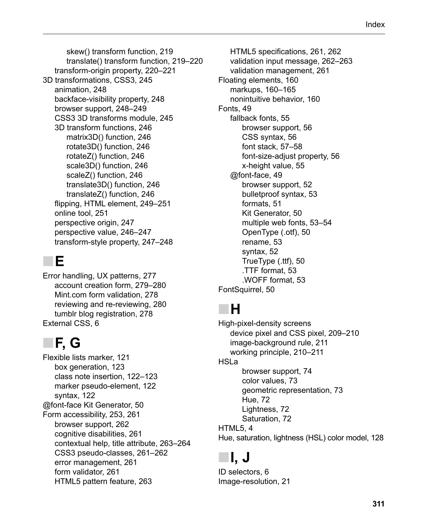skew() transform function, 219 translate() transform function, 219–220 transform-origin property, 220–221 3D transformations, CSS3, 245 animation, 248 backface-visibility property, 248 browser support, 248–249 CSS3 3D transforms module, 245 3D transform functions, 246 matrix3D() function, 246 rotate3D() function, 246 rotateZ() function, 246 scale3D() function, 246 scaleZ() function, 246 translate3D() function, 246 translateZ() function, 246 flipping, HTML element, 249–251 online tool, 251 perspective origin, 247 perspective value, 246–247 transform-style property, 247–248

#### ■ **E**

Error handling, UX patterns, 277 account creation form, 279–280 Mint.com form validation, 278 reviewing and re-reviewing, 280 tumblr blog registration, 278 External CSS, 6

# ■ **F, G**

Flexible lists marker, 121 box generation, 123 class note insertion, 122–123 marker pseudo-element, 122 syntax, 122 @font-face Kit Generator, 50 Form accessibility, 253, 261 browser support, 262 cognitive disabilities, 261 contextual help, title attribute, 263–264 CSS3 pseudo-classes, 261–262 error management, 261 form validator, 261 HTML5 pattern feature, 263

HTML5 specifications, 261, 262 validation input message, 262–263 validation management, 261 Floating elements, 160 markups, 160–165 nonintuitive behavior, 160 Fonts, 49 fallback fonts, 55 browser support, 56 CSS syntax, 56 font stack, 57–58 font-size-adjust property, 56 x-height value, 55 @font-face, 49 browser support, 52 bulletproof syntax, 53 formats, 51 Kit Generator, 50 multiple web fonts, 53–54 OpenType (.otf), 50 rename, 53 syntax, 52 TrueType (.ttf), 50 .TTF format, 53 .WOFF format, 53 FontSquirrel, 50

### ■ **H**

High-pixel-density screens device pixel and CSS pixel, 209–210 image-background rule, 211 working principle, 210–211 HSLa browser support, 74 color values, 73 geometric representation, 73 Hue, 72 Lightness, 72 Saturation, 72 HTML5, 4 Hue, saturation, lightness (HSL) color model, 128

# ■ **I, J**

ID selectors, 6 Image-resolution, 21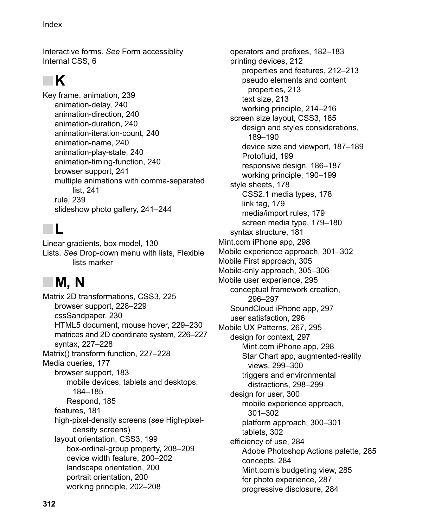Interactive forms. *See* Form accessiblity Internal CSS, 6

# ■ **K**

Key frame, animation, 239 animation-delay, 240 animation-direction, 240 animation-duration, 240 animation-iteration-count, 240 animation-name, 240 animation-play-state, 240 animation-timing-function, 240 browser support, 241 multiple animations with comma-separated list, 241 rule, 239 slideshow photo gallery, 241–244

#### ■ **L**

Linear gradients, box model, 130 Lists. *See* Drop-down menu with lists, Flexible lists marker

# ■ **M, N**

Matrix 2D transformations, CSS3, 225 browser support, 228–229 cssSandpaper, 230 HTML5 document, mouse hover, 229–230 matrices and 2D coordinate system, 226–227 syntax, 227–228 Matrix() transform function, 227–228 Media queries, 177 browser support, 183 mobile devices, tablets and desktops, 184–185 Respond, 185 features, 181 high-pixel-density screens (*see* High-pixeldensity screens) layout orientation, CSS3, 199 box-ordinal-group property, 208–209 device width feature, 200–202 landscape orientation, 200 portrait orientation, 200 working principle, 202–208

operators and prefixes, 182–183 printing devices, 212 properties and features, 212–213 pseudo elements and content properties, 213 text size, 213 working principle, 214–216 screen size layout, CSS3, 185 design and styles considerations, 189–190 device size and viewport, 187–189 Protofluid, 199 responsive design, 186–187 working principle, 190–199 style sheets, 178 CSS2.1 media types, 178 link tag, 179 media/import rules, 179 screen media type, 179–180 syntax structure, 181 Mint.com iPhone app, 298 Mobile experience approach, 301–302 Mobile First approach, 305 Mobile-only approach, 305–306 Mobile user experience, 295 conceptual framework creation, 296–297 SoundCloud iPhone app, 297 user satisfaction, 296 Mobile UX Patterns, 267, 295 design for context, 297 Mint.com iPhone app, 298 Star Chart app, augmented-reality views, 299–300 triggers and environmental distractions, 298–299 design for user, 300 mobile experience approach, 301–302 platform approach, 300–301 tablets, 302 efficiency of use, 284 Adobe Photoshop Actions palette, 285 concepts, 284 Mint.com's budgeting view, 285 for photo experience, 287 progressive disclosure, 284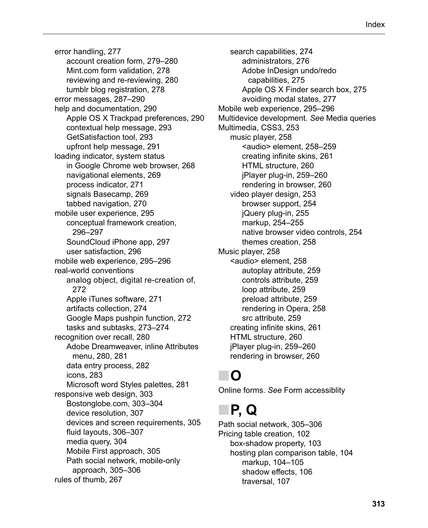error handling, 277 account creation form, 279–280 Mint.com form validation, 278 reviewing and re-reviewing, 280 tumblr blog registration, 278 error messages, 287–290 help and documentation, 290 Apple OS X Trackpad preferences, 290 contextual help message, 293 GetSatisfaction tool, 293 upfront help message, 291 loading indicator, system status in Google Chrome web browser, 268 navigational elements, 269 process indicator, 271 signals Basecamp, 269 tabbed navigation, 270 mobile user experience, 295 conceptual framework creation, 296–297 SoundCloud iPhone app, 297 user satisfaction, 296 mobile web experience, 295–296 real-world conventions analog object, digital re-creation of, 272 Apple iTunes software, 271 artifacts collection, 274 Google Maps pushpin function, 272 tasks and subtasks, 273–274 recognition over recall, 280 Adobe Dreamweaver, inline Attributes menu, 280, 281 data entry process, 282 icons, 283 Microsoft word Styles palettes, 281 responsive web design, 303 Bostonglobe.com, 303–304 device resolution, 307 devices and screen requirements, 305 fluid layouts, 306–307 media query, 304 Mobile First approach, 305 Path social network, mobile-only approach, 305–306 rules of thumb, 267

search capabilities, 274 administrators, 276 Adobe InDesign undo/redo capabilities, 275 Apple OS X Finder search box, 275 avoiding modal states, 277 Mobile web experience, 295–296 Multidevice development. *See* Media queries Multimedia, CSS3, 253 music player, 258 <audio> element, 258–259 creating infinite skins, 261 HTML structure, 260 jPlayer plug-in, 259–260 rendering in browser, 260 video player design, 253 browser support, 254 jQuery plug-in, 255 markup, 254–255 native browser video controls, 254 themes creation, 258 Music player, 258 <audio> element, 258 autoplay attribute, 259 controls attribute, 259 loop attribute, 259 preload attribute, 259 rendering in Opera, 258 src attribute, 259 creating infinite skins, 261 HTML structure, 260 jPlayer plug-in, 259–260 rendering in browser, 260

## ■ **O**

Online forms. *See* Form accessiblity

## ■ **P, Q**

Path social network, 305–306 Pricing table creation, 102 box-shadow property, 103 hosting plan comparison table, 104 markup, 104–105 shadow effects, 106 traversal, 107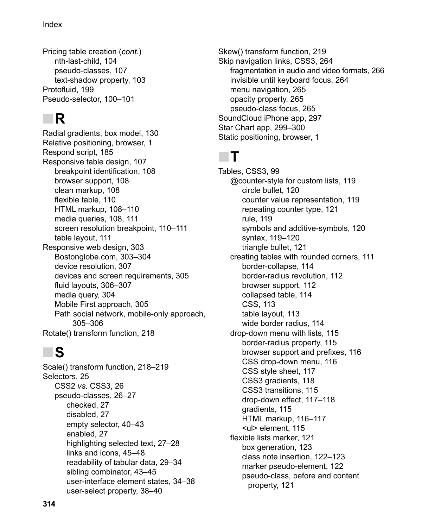Pricing table creation (*cont*.) nth-last-child, 104 pseudo-classes, 107 text-shadow property, 103 Protofluid, 199 Pseudo-selector, 100–101

## ■ **R**

Radial gradients, box model, 130 Relative positioning, browser, 1 Respond script, 185 Responsive table design, 107 breakpoint identification, 108 browser support, 108 clean markup, 108 flexible table, 110 HTML markup, 108–110 media queries, 108, 111 screen resolution breakpoint, 110–111 table layout, 111 Responsive web design, 303 Bostonglobe.com, 303–304 device resolution, 307 devices and screen requirements, 305 fluid layouts, 306–307 media query, 304 Mobile First approach, 305 Path social network, mobile-only approach, 305–306 Rotate() transform function, 218

## ■ **S**

Scale() transform function, 218–219 Selectors, 25 CSS2 *vs*. CSS3, 26 pseudo-classes, 26–27 checked, 27 disabled, 27 empty selector, 40–43 enabled, 27 highlighting selected text, 27–28 links and icons, 45–48 readability of tabular data, 29–34 sibling combinator, 43–45 user-interface element states, 34–38 user-select property, 38–40

Skew() transform function, 219 Skip navigation links, CSS3, 264 fragmentation in audio and video formats, 266 invisible until keyboard focus, 264 menu navigation, 265 opacity property, 265 pseudo-class focus, 265 SoundCloud iPhone app, 297 Star Chart app, 299–300 Static positioning, browser, 1

#### ■ **T**

Tables, CSS3, 99 @counter-style for custom lists, 119 circle bullet, 120 counter value representation, 119 repeating counter type, 121 rule, 119 symbols and additive-symbols, 120 syntax, 119–120 triangle bullet, 121 creating tables with rounded corners, 111 border-collapse, 114 border-radius revolution, 112 browser support, 112 collapsed table, 114 CSS, 113 table layout, 113 wide border radius, 114 drop-down menu with lists, 115 border-radius property, 115 browser support and prefixes, 116 CSS drop-down menu, 116 CSS style sheet, 117 CSS3 gradients, 118 CSS3 transitions, 115 drop-down effect, 117–118 gradients, 115 HTML markup, 116–117 <ul> element, 115 flexible lists marker, 121 box generation, 123 class note insertion, 122–123 marker pseudo-element, 122 pseudo-class, before and content property, 121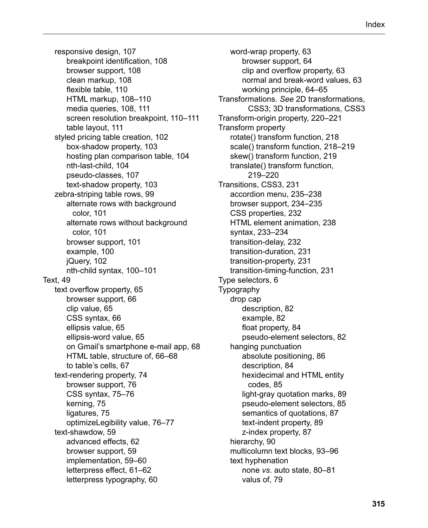responsive design, 107 breakpoint identification, 108 browser support, 108 clean markup, 108 flexible table, 110 HTML markup, 108–110 media queries, 108, 111 screen resolution breakpoint, 110–111 table layout, 111 styled pricing table creation, 102 box-shadow property, 103 hosting plan comparison table, 104 nth-last-child, 104 pseudo-classes, 107 text-shadow property, 103 zebra-striping table rows, 99 alternate rows with background color, 101 alternate rows without background color, 101 browser support, 101 example, 100 jQuery, 102 nth-child syntax, 100–101 Text, 49 text overflow property, 65 browser support, 66 clip value, 65 CSS syntax, 66 ellipsis value, 65 ellipsis-word value, 65 on Gmail's smartphone e-mail app, 68 HTML table, structure of, 66–68 to table's cells, 67 text-rendering property, 74 browser support, 76 CSS syntax, 75–76 kerning, 75 ligatures, 75 optimizeLegibility value, 76–77 text-shawdow, 59 advanced effects, 62 browser support, 59 implementation, 59–60 letterpress effect, 61–62 letterpress typography, 60

word-wrap property, 63 browser support, 64 clip and overflow property, 63 normal and break-word values, 63 working principle, 64–65 Transformations. *See* 2D transformations, CSS3; 3D transformations, CSS3 Transform-origin property, 220–221 Transform property rotate() transform function, 218 scale() transform function, 218–219 skew() transform function, 219 translate() transform function, 219–220 Transitions, CSS3, 231 accordion menu, 235–238 browser support, 234–235 CSS properties, 232 HTML element animation, 238 syntax, 233–234 transition-delay, 232 transition-duration, 231 transition-property, 231 transition-timing-function, 231 Type selectors, 6 **Typography** drop cap description, 82 example, 82 float property, 84 pseudo-element selectors, 82 hanging punctuation absolute positioning, 86 description, 84 hexidecimal and HTML entity codes, 85 light-gray quotation marks, 89 pseudo-element selectors, 85 semantics of quotations, 87 text-indent property, 89 z-index property, 87 hierarchy, 90 multicolumn text blocks, 93–96 text hyphenation none *vs*. auto state, 80–81 valus of, 79